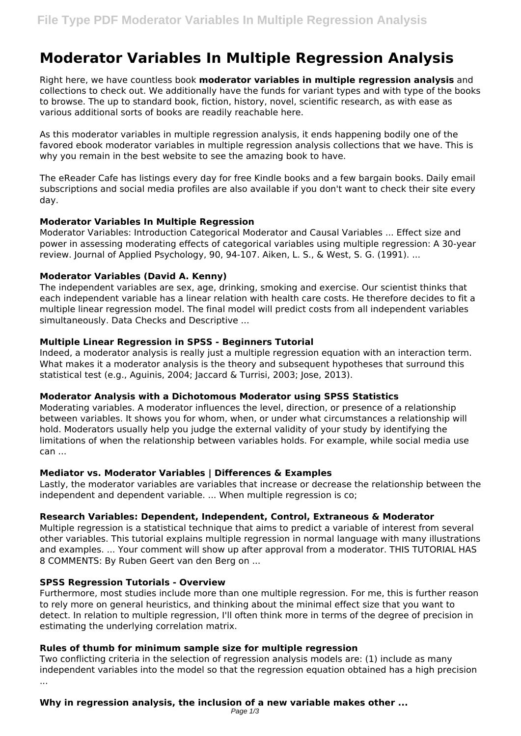# **Moderator Variables In Multiple Regression Analysis**

Right here, we have countless book **moderator variables in multiple regression analysis** and collections to check out. We additionally have the funds for variant types and with type of the books to browse. The up to standard book, fiction, history, novel, scientific research, as with ease as various additional sorts of books are readily reachable here.

As this moderator variables in multiple regression analysis, it ends happening bodily one of the favored ebook moderator variables in multiple regression analysis collections that we have. This is why you remain in the best website to see the amazing book to have.

The eReader Cafe has listings every day for free Kindle books and a few bargain books. Daily email subscriptions and social media profiles are also available if you don't want to check their site every day.

## **Moderator Variables In Multiple Regression**

Moderator Variables: Introduction Categorical Moderator and Causal Variables ... Effect size and power in assessing moderating effects of categorical variables using multiple regression: A 30-year review. Journal of Applied Psychology, 90, 94-107. Aiken, L. S., & West, S. G. (1991). ...

#### **Moderator Variables (David A. Kenny)**

The independent variables are sex, age, drinking, smoking and exercise. Our scientist thinks that each independent variable has a linear relation with health care costs. He therefore decides to fit a multiple linear regression model. The final model will predict costs from all independent variables simultaneously. Data Checks and Descriptive ...

## **Multiple Linear Regression in SPSS - Beginners Tutorial**

Indeed, a moderator analysis is really just a multiple regression equation with an interaction term. What makes it a moderator analysis is the theory and subsequent hypotheses that surround this statistical test (e.g., Aguinis, 2004; Jaccard & Turrisi, 2003; Jose, 2013).

## **Moderator Analysis with a Dichotomous Moderator using SPSS Statistics**

Moderating variables. A moderator influences the level, direction, or presence of a relationship between variables. It shows you for whom, when, or under what circumstances a relationship will hold. Moderators usually help you judge the external validity of your study by identifying the limitations of when the relationship between variables holds. For example, while social media use can ...

## **Mediator vs. Moderator Variables | Differences & Examples**

Lastly, the moderator variables are variables that increase or decrease the relationship between the independent and dependent variable. ... When multiple regression is co;

#### **Research Variables: Dependent, Independent, Control, Extraneous & Moderator**

Multiple regression is a statistical technique that aims to predict a variable of interest from several other variables. This tutorial explains multiple regression in normal language with many illustrations and examples. ... Your comment will show up after approval from a moderator. THIS TUTORIAL HAS 8 COMMENTS: By Ruben Geert van den Berg on ...

#### **SPSS Regression Tutorials - Overview**

Furthermore, most studies include more than one multiple regression. For me, this is further reason to rely more on general heuristics, and thinking about the minimal effect size that you want to detect. In relation to multiple regression, I'll often think more in terms of the degree of precision in estimating the underlying correlation matrix.

## **Rules of thumb for minimum sample size for multiple regression**

Two conflicting criteria in the selection of regression analysis models are: (1) include as many independent variables into the model so that the regression equation obtained has a high precision ...

## **Why in regression analysis, the inclusion of a new variable makes other ...**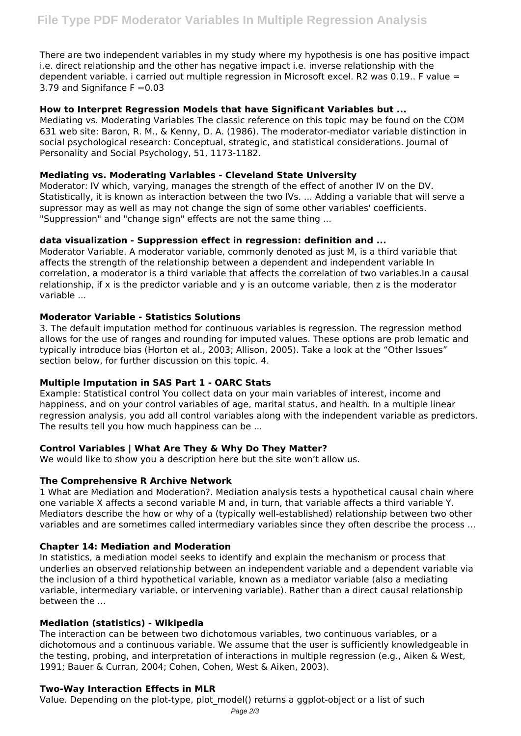There are two independent variables in my study where my hypothesis is one has positive impact i.e. direct relationship and the other has negative impact i.e. inverse relationship with the dependent variable. i carried out multiple regression in Microsoft excel. R2 was 0.19.. F value = 3.79 and Signifance  $F = 0.03$ 

## **How to Interpret Regression Models that have Significant Variables but ...**

Mediating vs. Moderating Variables The classic reference on this topic may be found on the COM 631 web site: Baron, R. M., & Kenny, D. A. (1986). The moderator-mediator variable distinction in social psychological research: Conceptual, strategic, and statistical considerations. Journal of Personality and Social Psychology, 51, 1173-1182.

## **Mediating vs. Moderating Variables - Cleveland State University**

Moderator: IV which, varying, manages the strength of the effect of another IV on the DV. Statistically, it is known as interaction between the two IVs. ... Adding a variable that will serve a supressor may as well as may not change the sign of some other variables' coefficients. "Suppression" and "change sign" effects are not the same thing ...

# **data visualization - Suppression effect in regression: definition and ...**

Moderator Variable. A moderator variable, commonly denoted as just M, is a third variable that affects the strength of the relationship between a dependent and independent variable In correlation, a moderator is a third variable that affects the correlation of two variables.In a causal relationship, if x is the predictor variable and y is an outcome variable, then z is the moderator variable ...

# **Moderator Variable - Statistics Solutions**

3. The default imputation method for continuous variables is regression. The regression method allows for the use of ranges and rounding for imputed values. These options are prob lematic and typically introduce bias (Horton et al., 2003; Allison, 2005). Take a look at the "Other Issues" section below, for further discussion on this topic. 4.

## **Multiple Imputation in SAS Part 1 - OARC Stats**

Example: Statistical control You collect data on your main variables of interest, income and happiness, and on your control variables of age, marital status, and health. In a multiple linear regression analysis, you add all control variables along with the independent variable as predictors. The results tell you how much happiness can be ...

## **Control Variables | What Are They & Why Do They Matter?**

We would like to show you a description here but the site won't allow us.

## **The Comprehensive R Archive Network**

1 What are Mediation and Moderation?. Mediation analysis tests a hypothetical causal chain where one variable X affects a second variable M and, in turn, that variable affects a third variable Y. Mediators describe the how or why of a (typically well-established) relationship between two other variables and are sometimes called intermediary variables since they often describe the process ...

## **Chapter 14: Mediation and Moderation**

In statistics, a mediation model seeks to identify and explain the mechanism or process that underlies an observed relationship between an independent variable and a dependent variable via the inclusion of a third hypothetical variable, known as a mediator variable (also a mediating variable, intermediary variable, or intervening variable). Rather than a direct causal relationship between the ...

## **Mediation (statistics) - Wikipedia**

The interaction can be between two dichotomous variables, two continuous variables, or a dichotomous and a continuous variable. We assume that the user is sufficiently knowledgeable in the testing, probing, and interpretation of interactions in multiple regression (e.g., Aiken & West, 1991; Bauer & Curran, 2004; Cohen, Cohen, West & Aiken, 2003).

## **Two-Way Interaction Effects in MLR**

Value. Depending on the plot-type, plot model() returns a ggplot-object or a list of such